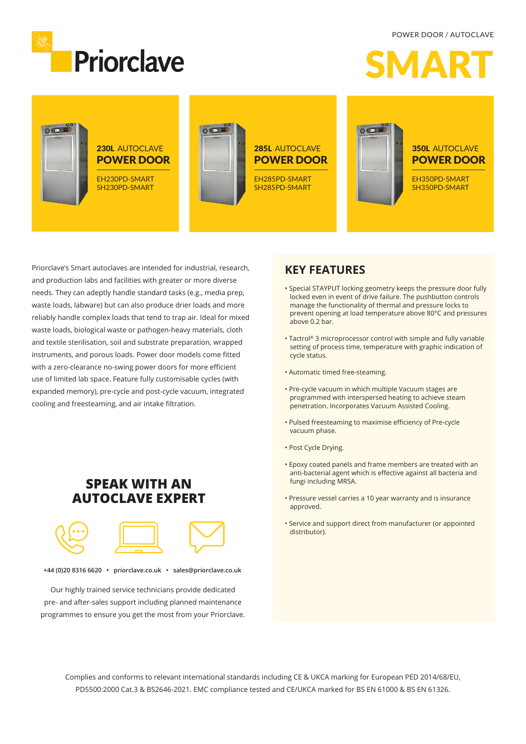

POWER DOOR / AUTOCLAVE





Priorclave's Smart autoclaves are intended for industrial, research, and production labs and facilities with greater or more diverse needs. They can adeptly handle standard tasks (e.g., media prep, waste loads, labware) but can also produce drier loads and more reliably handle complex loads that tend to trap air. Ideal for mixed waste loads, biological waste or pathogen-heavy materials, cloth and textile sterilisation, soil and substrate preparation, wrapped instruments, and porous loads. Power door models come fitted with a zero-clearance no-swing power doors for more efficient use of limited lab space. Feature fully customisable cycles (with expanded memory), pre-cycle and post-cycle vacuum, integrated cooling and freesteaming, and air intake filtration.

## **SPEAK WITH AN AUTOCLAVE EXPERT**



**+44 (0)20 8316 6620 • priorclave.co.uk • sales@priorclave.co.uk**

Our highly trained service technicians provide dedicated pre- and after-sales support including planned maintenance programmes to ensure you get the most from your Priorclave.

### **KEY FEATURES**

- Special STAYPUT locking geometry keeps the pressure door fully locked even in event of drive failure. The pushbutton controls manage the functionality of thermal and pressure locks to prevent opening at load temperature above 80°C and pressures above 0.2 bar.
- Tactrol® 3 microprocessor control with simple and fully variable setting of process time, temperature with graphic indication of cycle status.
- Automatic timed free-steaming.
- Pre-cycle vacuum in which multiple Vacuum stages are programmed with interspersed heating to achieve steam penetration. Incorporates Vacuum Assisted Cooling.
- Pulsed freesteaming to maximise efficiency of Pre-cycle vacuum phase.
- Post Cycle Drying.
- Epoxy coated panels and frame members are treated with an anti-bacterial agent which is effective against all bacteria and fungi including MRSA.
- Pressure vessel carries a 10 year warranty and is insurance approved.
- Service and support direct from manufacturer (or appointed distributor).

Complies and conforms to relevant international standards including CE & UKCA marking for European PED 2014/68/EU, PD5500:2000 Cat.3 & BS2646-2021. EMC compliance tested and CE/UKCA marked for BS EN 61000 & BS EN 61326.